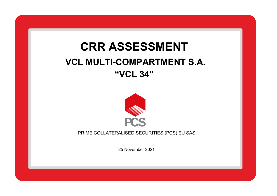## **SLSJ**<br>Omdae **CRR ASSESSMENT VCL MULTI-COMPARTMENT S.A. "VCL 34"**



PRIME COLLATERALISED SECURITIES (PCS) EU SAS

25 November 2021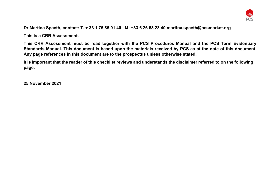

**Dr Martina Spaeth, contact: T. + 33 1 75 85 01 40 | M: +33 6 26 63 23 40 martina.spaeth@pcsmarket.org**

**This is a CRR Assessment.**

**This CRR Assessment must be read together with the PCS Procedures Manual and the PCS Term Evidentiary Standards Manual. This document is based upon the materials received by PCS as at the date of this document. Any page references in this document are to the prospectus unless otherwise stated.**

**It is important that the reader of this checklist reviews and understands the disclaimer referred to on the following page.**

**25 November 2021**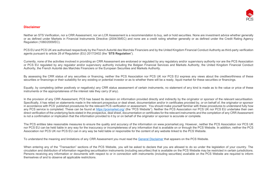

## **Disclaimer**

Neither an STS Verification, nor a CRR Assessment, nor an LCR Assessment is a recommendation to buy, sell or hold securities. None are investment advice whether generally or as defined under Markets in Financial Instruments Directive (2004/39/EC) and none are a credit rating whether generally or as defined under the Credit Rating Agency Regulation (1060/2009/EC).

PCS EU and PCS UK are authorised respectively by the French Autorité des Marchés Financiers and by the United Kingdom Financial Conduct Authority as third-party verification agents pursuant to article 28 of Regulation (EU) 2017/2402 (the "**STS Regulation**").

Currently, none of the activities involved in providing an CRR Assessment are endorsed or regulated by any regulatory and/or supervisory authority nor are the PCS Association or PCS EU regulated by any regulator and/or supervisory authority including the Belgian Financial Services and Markets Authority, the United Kingdom Financial Conduct Authority, the French Autorité des Marchés Financiers or the European Securities and Markets Authority.

By assessing the CRR status of any securities or financing, neither the PCS Association nor PCS UK nor PCS EU express any views about the creditworthiness of these securities or financings or their suitability for any existing or potential investor or as to whether there will be a ready, liquid market for these securities or financings.

Equally, by completing (either positively or negatively) any CRR status assessment of certain instruments, no statement of any kind is made as to the value or price of these instruments or the appropriateness of the interest rate they carry (if any).

In the provision of any CRR Assessment. PCS has based its decision on information provided directly and indirectly by the originator or sponsor of the relevant securitisation. Specifically, it has relied on statements made in the relevant prospectus or deal sheet, documentation and/or in certificates provided by, or on behalf of, the originator or sponsor in accordance with PCS' published procedures for the relevant PCS verification or assessment. You should make yourself familiar with these procedures to understand fully how any PCS service is completed. These can be found at<https://pcsmarket.org/> (the "PCS Website"). Neither the PCS Association nor PCS UK nor PCS EU undertake their own direct verification of the underlying facts stated in the prospectus, deal sheet, documentation or certificates for the relevant instruments and the completion of any CRR Assessment is not a confirmation or implication that the information provided to it by or on behalf of the originator or sponsor is accurate or complete.

The PCS entities take reasonable measures to ensure the quality and accuracy of the information on www.pcsmarket.org. However, neither the PCS Association nor PCS UK nor PCS EU can be held liable in any way for the inaccuracy or incompleteness of any information that is available on or through the PCS Website. In addition, neither the PCS Association nor PCS UK nor PCS EU can in any way be held liable or responsible for the content of any website linked to the PCS Website.

To understand the meaning and limitations of any CRR Assessment you must read th[e General Disclaimer](https://pcsmarket.org/) that appears on the PCS Website.

When entering any of the "Transaction" sections of the PCS Website, you will be asked to declare that you are allowed to do so under the legislation of your country. The circulation and distribution of information regarding securitisation instruments (including securities) that is available on the PCS Website may be restricted in certain jurisdictions. Persons receiving any information or documents with respect to or in connection with instruments (including securities) available on the PCS Website are required to inform themselves of and to observe all applicable restrictions.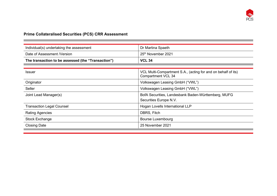

## **Prime Collateralised Securities (PCS) CRR Assessment**

п

| Individual(s) undertaking the assessment<br>Dr Martina Spaeth |                                                                                            |  |  |
|---------------------------------------------------------------|--------------------------------------------------------------------------------------------|--|--|
| Date of Assessment / Version                                  | 25 <sup>th</sup> November 2021                                                             |  |  |
| The transaction to be assessed (the "Transaction")            | <b>VCL 34</b>                                                                              |  |  |
|                                                               |                                                                                            |  |  |
| <b>Issuer</b>                                                 | VCL Multi-Compartment S.A., (acting for and on behalf of its)<br><b>Compartment VCL 34</b> |  |  |
| Originator                                                    | Volkswagen Leasing GmbH ("VWL")                                                            |  |  |
| Seller                                                        | Volkswagen Leasing GmbH ("VWL")                                                            |  |  |
| Joint Lead Manager(s)                                         | BofA Securities, Landesbank Baden-Württemberg, MUFG                                        |  |  |
|                                                               | Securities Europe N.V.                                                                     |  |  |
| <b>Transaction Legal Counsel</b>                              | Hogan Lovells International LLP                                                            |  |  |
| <b>Rating Agencies</b>                                        | DBRS, Fitch                                                                                |  |  |
| Stock Exchange                                                | <b>Bourse Luxembourg</b>                                                                   |  |  |
| <b>Closing Date</b>                                           | 25 November 2021                                                                           |  |  |
|                                                               |                                                                                            |  |  |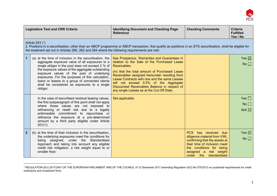

| <b>Legislative Text and CRR Criteria</b>                                                                                                                                                                                                                                         |                                                                                                                                                                                                                                                                                                                                                                                                                                    | <b>Identifying Document and Checking Page</b><br><b>Reference</b>                                                                                                                                                                                                                                                                                                                                        | <b>Checking Comments</b>                                                                                                                                                                                | <b>Criteria</b><br><b>Fulfilled</b><br>Yes / No |  |  |  |  |
|----------------------------------------------------------------------------------------------------------------------------------------------------------------------------------------------------------------------------------------------------------------------------------|------------------------------------------------------------------------------------------------------------------------------------------------------------------------------------------------------------------------------------------------------------------------------------------------------------------------------------------------------------------------------------------------------------------------------------|----------------------------------------------------------------------------------------------------------------------------------------------------------------------------------------------------------------------------------------------------------------------------------------------------------------------------------------------------------------------------------------------------------|---------------------------------------------------------------------------------------------------------------------------------------------------------------------------------------------------------|-------------------------------------------------|--|--|--|--|
| Article 243 (1)<br>2. Positions in a securitisation, other than an ABCP programme or ABCP transaction, that qualify as positions in an STS securitisation, shall be eligible for<br>the treatment set out in Articles 260, 262 and 264 where the following requirements are met: |                                                                                                                                                                                                                                                                                                                                                                                                                                    |                                                                                                                                                                                                                                                                                                                                                                                                          |                                                                                                                                                                                                         |                                                 |  |  |  |  |
| $\overline{1}$                                                                                                                                                                                                                                                                   | (a) at the time of inclusion in the securitisation, the<br>aggregate exposure value of all exposures to a<br>single obligor in the pool does not exceed 2 % of<br>the exposure values of the aggregate outstanding<br>exposure values of the pool of underlying<br>exposures. For the purposes of this calculation,<br>loans or leases to a group of connected clients<br>shall be considered as exposures to a single<br>obligor. | See Prospectus, Warranties and Guarantees in<br>relation to the Sale of the Purchased Lease<br><b>Receivables</b><br>(m) that the total amount of Purchased Lease<br>Receivables assigned hereunder resulting from<br>Lease Contracts with one and the same Lessee<br>will not exceed 0.5% of the Aggregate<br>Discounted Receivables Balance in respect of<br>any single Lessee as at the Cut-Off Date; |                                                                                                                                                                                                         | Yes $\boxtimes$<br>No                           |  |  |  |  |
|                                                                                                                                                                                                                                                                                  | In the case of securitised residual leasing values,<br>the first subparagraph of this point shall not apply<br>where those values are not exposed to<br>refinancing or resell risk due to a legally<br>enforceable commitment to repurchase or<br>refinance the exposure at a pre-determined<br>amount by a third party eligible under Article<br>201(1);                                                                          | Not applicable.                                                                                                                                                                                                                                                                                                                                                                                          |                                                                                                                                                                                                         | Yes $\Box$<br>No<br>$N/A \boxtimes$             |  |  |  |  |
| $\overline{2}$                                                                                                                                                                                                                                                                   | (b) at the time of their inclusion in the securitisation,<br>the underlying exposures meet the conditions for<br>being assigned, under the<br>Standardised<br>Approach and taking into account any eligible<br>credit risk mitigation, a risk weight equal to or<br>smaller than:                                                                                                                                                  |                                                                                                                                                                                                                                                                                                                                                                                                          | PCS has received due<br>diligence material from VWL<br>confirming that the assets at<br>their time of inclusion meet<br>the conditions for being<br>assigned a risk weight<br>standardised<br>under the | Yes $\boxtimes$<br>No                           |  |  |  |  |

<sup>&</sup>lt;sup>1</sup> REGULATION (EU) 2017/2401 OF THE EUROPEAN PARLIAMENT AND OF THE COUNCIL of 12 December 2017 amending Regulation (EU) No 575/2013 on prudential requirements for credit institutions and investment firms.